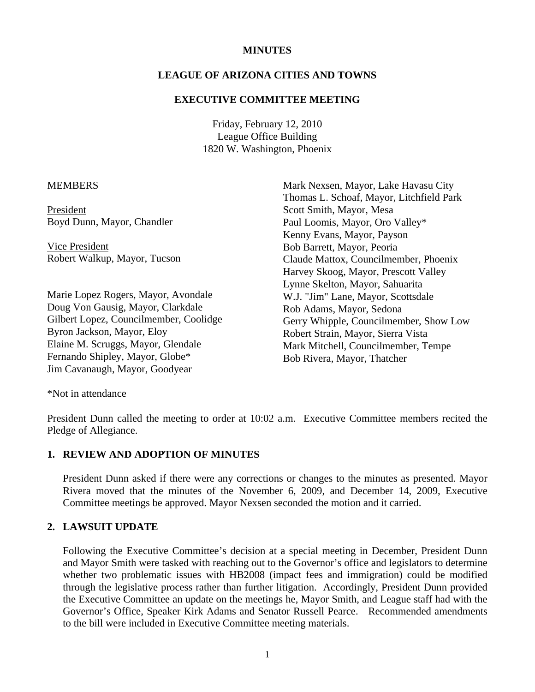## **MINUTES**

## **LEAGUE OF ARIZONA CITIES AND TOWNS**

### **EXECUTIVE COMMITTEE MEETING**

Friday, February 12, 2010 League Office Building 1820 W. Washington, Phoenix

#### **MEMBERS**

President Boyd Dunn, Mayor, Chandler

 Vice President Robert Walkup, Mayor, Tucson

Marie Lopez Rogers, Mayor, Avondale Doug Von Gausig, Mayor, Clarkdale Gilbert Lopez, Councilmember, Coolidge Byron Jackson, Mayor, Eloy Elaine M. Scruggs, Mayor, Glendale Fernando Shipley, Mayor, Globe\* Jim Cavanaugh, Mayor, Goodyear

Mark Nexsen, Mayor, Lake Havasu City Thomas L. Schoaf, Mayor, Litchfield Park Scott Smith, Mayor, Mesa Paul Loomis, Mayor, Oro Valley\* Kenny Evans, Mayor, Payson Bob Barrett, Mayor, Peoria Claude Mattox, Councilmember, Phoenix Harvey Skoog, Mayor, Prescott Valley Lynne Skelton, Mayor, Sahuarita W.J. "Jim" Lane, Mayor, Scottsdale Rob Adams, Mayor, Sedona Gerry Whipple, Councilmember, Show Low Robert Strain, Mayor, Sierra Vista Mark Mitchell, Councilmember, Tempe Bob Rivera, Mayor, Thatcher

\*Not in attendance

President Dunn called the meeting to order at 10:02 a.m. Executive Committee members recited the Pledge of Allegiance.

## **1. REVIEW AND ADOPTION OF MINUTES**

President Dunn asked if there were any corrections or changes to the minutes as presented. Mayor Rivera moved that the minutes of the November 6, 2009, and December 14, 2009, Executive Committee meetings be approved. Mayor Nexsen seconded the motion and it carried.

## **2. LAWSUIT UPDATE**

Following the Executive Committee's decision at a special meeting in December, President Dunn and Mayor Smith were tasked with reaching out to the Governor's office and legislators to determine whether two problematic issues with HB2008 (impact fees and immigration) could be modified through the legislative process rather than further litigation. Accordingly, President Dunn provided the Executive Committee an update on the meetings he, Mayor Smith, and League staff had with the Governor's Office, Speaker Kirk Adams and Senator Russell Pearce. Recommended amendments to the bill were included in Executive Committee meeting materials.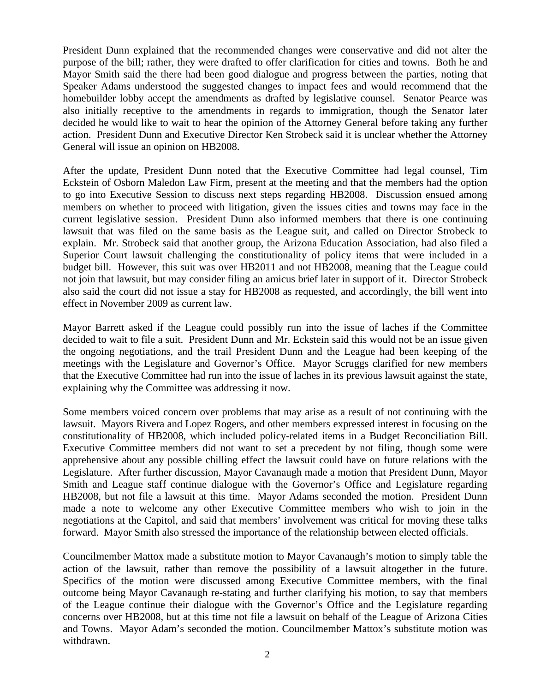President Dunn explained that the recommended changes were conservative and did not alter the purpose of the bill; rather, they were drafted to offer clarification for cities and towns. Both he and Mayor Smith said the there had been good dialogue and progress between the parties, noting that Speaker Adams understood the suggested changes to impact fees and would recommend that the homebuilder lobby accept the amendments as drafted by legislative counsel. Senator Pearce was also initially receptive to the amendments in regards to immigration, though the Senator later decided he would like to wait to hear the opinion of the Attorney General before taking any further action. President Dunn and Executive Director Ken Strobeck said it is unclear whether the Attorney General will issue an opinion on HB2008.

After the update, President Dunn noted that the Executive Committee had legal counsel, Tim Eckstein of Osborn Maledon Law Firm, present at the meeting and that the members had the option to go into Executive Session to discuss next steps regarding HB2008. Discussion ensued among members on whether to proceed with litigation, given the issues cities and towns may face in the current legislative session. President Dunn also informed members that there is one continuing lawsuit that was filed on the same basis as the League suit, and called on Director Strobeck to explain. Mr. Strobeck said that another group, the Arizona Education Association, had also filed a Superior Court lawsuit challenging the constitutionality of policy items that were included in a budget bill. However, this suit was over HB2011 and not HB2008, meaning that the League could not join that lawsuit, but may consider filing an amicus brief later in support of it. Director Strobeck also said the court did not issue a stay for HB2008 as requested, and accordingly, the bill went into effect in November 2009 as current law.

Mayor Barrett asked if the League could possibly run into the issue of laches if the Committee decided to wait to file a suit. President Dunn and Mr. Eckstein said this would not be an issue given the ongoing negotiations, and the trail President Dunn and the League had been keeping of the meetings with the Legislature and Governor's Office. Mayor Scruggs clarified for new members that the Executive Committee had run into the issue of laches in its previous lawsuit against the state, explaining why the Committee was addressing it now.

Some members voiced concern over problems that may arise as a result of not continuing with the lawsuit. Mayors Rivera and Lopez Rogers, and other members expressed interest in focusing on the constitutionality of HB2008, which included policy-related items in a Budget Reconciliation Bill. Executive Committee members did not want to set a precedent by not filing, though some were apprehensive about any possible chilling effect the lawsuit could have on future relations with the Legislature. After further discussion, Mayor Cavanaugh made a motion that President Dunn, Mayor Smith and League staff continue dialogue with the Governor's Office and Legislature regarding HB2008, but not file a lawsuit at this time. Mayor Adams seconded the motion. President Dunn made a note to welcome any other Executive Committee members who wish to join in the negotiations at the Capitol, and said that members' involvement was critical for moving these talks forward. Mayor Smith also stressed the importance of the relationship between elected officials.

Councilmember Mattox made a substitute motion to Mayor Cavanaugh's motion to simply table the action of the lawsuit, rather than remove the possibility of a lawsuit altogether in the future. Specifics of the motion were discussed among Executive Committee members, with the final outcome being Mayor Cavanaugh re-stating and further clarifying his motion, to say that members of the League continue their dialogue with the Governor's Office and the Legislature regarding concerns over HB2008, but at this time not file a lawsuit on behalf of the League of Arizona Cities and Towns. Mayor Adam's seconded the motion. Councilmember Mattox's substitute motion was withdrawn.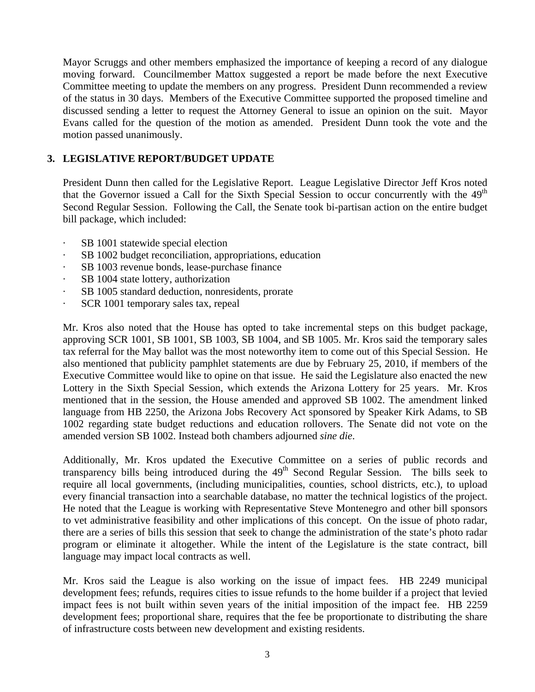Mayor Scruggs and other members emphasized the importance of keeping a record of any dialogue moving forward. Councilmember Mattox suggested a report be made before the next Executive Committee meeting to update the members on any progress. President Dunn recommended a review of the status in 30 days. Members of the Executive Committee supported the proposed timeline and discussed sending a letter to request the Attorney General to issue an opinion on the suit. Mayor Evans called for the question of the motion as amended. President Dunn took the vote and the motion passed unanimously.

# **3. LEGISLATIVE REPORT/BUDGET UPDATE**

President Dunn then called for the Legislative Report. League Legislative Director Jeff Kros noted that the Governor issued a Call for the Sixth Special Session to occur concurrently with the  $49<sup>th</sup>$ Second Regular Session. Following the Call, the Senate took bi-partisan action on the entire budget bill package, which included:

- SB 1001 statewide special election
- · SB 1002 budget reconciliation, appropriations, education
- SB 1003 revenue bonds, lease-purchase finance
- SB 1004 state lottery, authorization
- · SB 1005 standard deduction, nonresidents, prorate
- SCR 1001 temporary sales tax, repeal

Mr. Kros also noted that the House has opted to take incremental steps on this budget package, approving SCR 1001, SB 1001, SB 1003, SB 1004, and SB 1005. Mr. Kros said the temporary sales tax referral for the May ballot was the most noteworthy item to come out of this Special Session. He also mentioned that publicity pamphlet statements are due by February 25, 2010, if members of the Executive Committee would like to opine on that issue. He said the Legislature also enacted the new Lottery in the Sixth Special Session, which extends the Arizona Lottery for 25 years. Mr. Kros mentioned that in the session, the House amended and approved SB 1002. The amendment linked language from HB 2250, the Arizona Jobs Recovery Act sponsored by Speaker Kirk Adams, to SB 1002 regarding state budget reductions and education rollovers. The Senate did not vote on the amended version SB 1002. Instead both chambers adjourned *sine die*.

Additionally, Mr. Kros updated the Executive Committee on a series of public records and transparency bills being introduced during the 49<sup>th</sup> Second Regular Session. The bills seek to require all local governments, (including municipalities, counties, school districts, etc.), to upload every financial transaction into a searchable database, no matter the technical logistics of the project. He noted that the League is working with Representative Steve Montenegro and other bill sponsors to vet administrative feasibility and other implications of this concept. On the issue of photo radar, there are a series of bills this session that seek to change the administration of the state's photo radar program or eliminate it altogether. While the intent of the Legislature is the state contract, bill language may impact local contracts as well.

Mr. Kros said the League is also working on the issue of impact fees. HB 2249 municipal development fees; refunds, requires cities to issue refunds to the home builder if a project that levied impact fees is not built within seven years of the initial imposition of the impact fee. HB 2259 development fees; proportional share, requires that the fee be proportionate to distributing the share of infrastructure costs between new development and existing residents.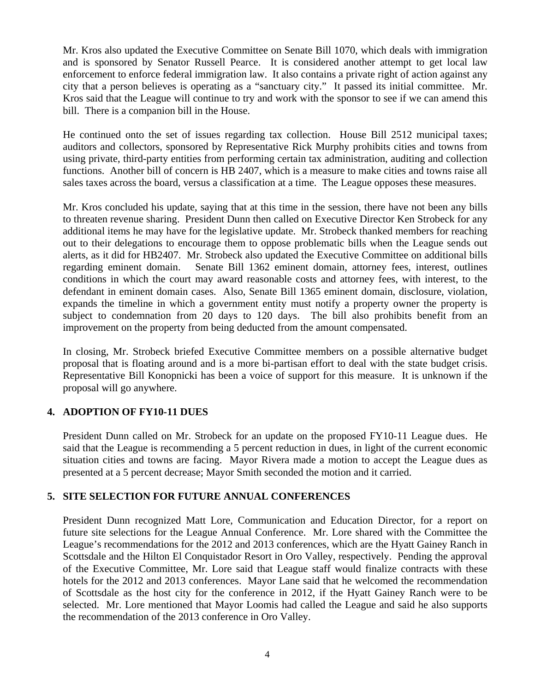Mr. Kros also updated the Executive Committee on Senate Bill 1070, which deals with immigration and is sponsored by Senator Russell Pearce. It is considered another attempt to get local law enforcement to enforce federal immigration law. It also contains a private right of action against any city that a person believes is operating as a "sanctuary city." It passed its initial committee. Mr. Kros said that the League will continue to try and work with the sponsor to see if we can amend this bill. There is a companion bill in the House.

He continued onto the set of issues regarding tax collection. House Bill 2512 municipal taxes; auditors and collectors, sponsored by Representative Rick Murphy prohibits cities and towns from using private, third-party entities from performing certain tax administration, auditing and collection functions. Another bill of concern is HB 2407, which is a measure to make cities and towns raise all sales taxes across the board, versus a classification at a time. The League opposes these measures.

Mr. Kros concluded his update, saying that at this time in the session, there have not been any bills to threaten revenue sharing. President Dunn then called on Executive Director Ken Strobeck for any additional items he may have for the legislative update. Mr. Strobeck thanked members for reaching out to their delegations to encourage them to oppose problematic bills when the League sends out alerts, as it did for HB2407. Mr. Strobeck also updated the Executive Committee on additional bills regarding eminent domain. Senate Bill 1362 eminent domain, attorney fees, interest, outlines conditions in which the court may award reasonable costs and attorney fees, with interest, to the defendant in eminent domain cases. Also, Senate Bill 1365 eminent domain, disclosure, violation, expands the timeline in which a government entity must notify a property owner the property is subject to condemnation from 20 days to 120 days. The bill also prohibits benefit from an improvement on the property from being deducted from the amount compensated.

In closing, Mr. Strobeck briefed Executive Committee members on a possible alternative budget proposal that is floating around and is a more bi-partisan effort to deal with the state budget crisis. Representative Bill Konopnicki has been a voice of support for this measure. It is unknown if the proposal will go anywhere.

# **4. ADOPTION OF FY10-11 DUES**

President Dunn called on Mr. Strobeck for an update on the proposed FY10-11 League dues. He said that the League is recommending a 5 percent reduction in dues, in light of the current economic situation cities and towns are facing. Mayor Rivera made a motion to accept the League dues as presented at a 5 percent decrease; Mayor Smith seconded the motion and it carried.

# **5. SITE SELECTION FOR FUTURE ANNUAL CONFERENCES**

President Dunn recognized Matt Lore, Communication and Education Director, for a report on future site selections for the League Annual Conference. Mr. Lore shared with the Committee the League's recommendations for the 2012 and 2013 conferences, which are the Hyatt Gainey Ranch in Scottsdale and the Hilton El Conquistador Resort in Oro Valley, respectively. Pending the approval of the Executive Committee, Mr. Lore said that League staff would finalize contracts with these hotels for the 2012 and 2013 conferences. Mayor Lane said that he welcomed the recommendation of Scottsdale as the host city for the conference in 2012, if the Hyatt Gainey Ranch were to be selected. Mr. Lore mentioned that Mayor Loomis had called the League and said he also supports the recommendation of the 2013 conference in Oro Valley.